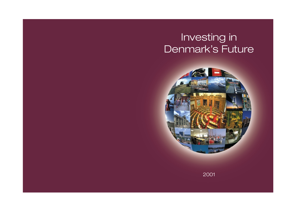# Investing in Denmark's Future



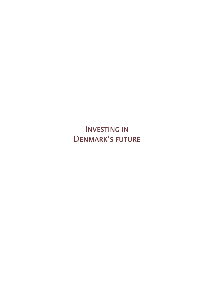**INARK'S ELITI** Denmark's future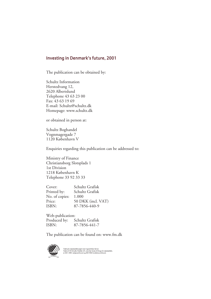# Investing in Denmark's future, 2001

The publication can be obtained by:

Schultz Information Herstedvang 12, 2620 Albertslund Telephone 43 63 23 00 Fax: 43 63 19 69 E-mail: Schultz@schultz.dk Homepage: www.schultz.dk

or obtained in person at:

Schultz Boghandel Vognmagergade 7 1120 København V

Enquiries regarding this publication can be addressed to:

Ministry of Finance Christiansborg Slotsplads 1 1st Division 1218 København K Telephone 33 92 33 33

| Cover:         | Schultz Grafisk    |
|----------------|--------------------|
| Printed by:    | Schultz Grafisk    |
| No. of copies: | 1.000              |
| Price:         | 50 DKK (incl. VAT) |
| ISBN:          | 87-7856-440-9      |
|                |                    |

Web-publication: Produced by: Schultz Grafisk ISBN: 87-7856-441-7

The publication can be found on: www.fm.dk

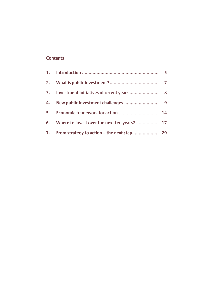# **Contents**

| 6. Where to invest over the next ten years?  17 |  |
|-------------------------------------------------|--|
|                                                 |  |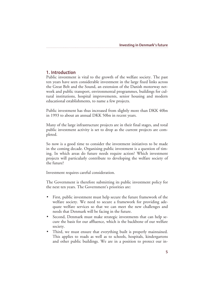## 1. Introduction

Public investment is vital to the growth of the welfare society. The past ten years have seen considerable investment in the large fixed links across the Great Belt and the Sound, an extension of the Danish motorway network and public transport, environmental programmes, buildings for cultural institutions, hospital improvements, senior housing and modern educational establishments, to name a few projects.

Public investment has thus increased from slightly more than DKK 40bn in 1993 to about an annual DKK 50bn in recent years.

Many of the large infrastructure projects are in their final stages, and total public investment activity is set to drop as the current projects are completed.

So now is a good time to consider the investment initiatives to be made in the coming decade. Organising public investment is a question of timing. In which areas do future needs require action? Which investment projects will particularly contribute to developing the welfare society of the future?

Investment requires careful consideration.

The Government is therefore submitting its public investment policy for the next ten years. The Government's priorities are:

- First, public investment must help secure the future framework of the welfare society. We need to secure a framework for providing adequate welfare services so that we can meet the new challenges and needs that Denmark will be facing in the future.
- Second, Denmark must make strategic investments that can help secure the basis for our affluence, which is the backbone of our welfare society.
- Third, we must ensure that everything built is properly maintained. This applies to roads as well as to schools, hospitals, kindergartens and other public buildings. We are in a position to protect our in-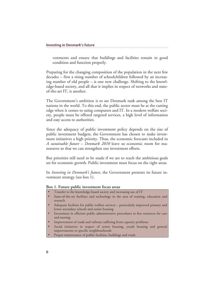vestments and ensure that buildings and facilities remain in good condition and function properly.

Preparing for the changing composition of the population in the next few decades – first a rising number of schoolchildren followed by an increasing number of old people – is one new challenge. Shifting to the knowledge-based society, and all that it implies in respect of networks and stateof-the-art IT, is another.

The Government's ambition is to see Denmark rank among the best IT nations in the world. To this end, the public sector must be at the cutting edge when it comes to using computers and IT. In a modern welfare society, people must be offered targeted services, a high level of information and easy access to authorities.

Since the adequacy of public investment policy depends on the size of public investment budgets, the Government has chosen to make investment initiatives a high priority. Thus, the economic forecasts included in *A sustainable future – Denmark 2010* leave us economic room for manoeuvre so that we can strengthen our investment efforts.

But priorities still need to be made if we are to reach the ambitious goals set for economic growth. Public investment must focus on the right areas.

In *Investing in Denmark's future*, the Government presents its future investment strategy (see box 1).

#### **Box 1. Future public investment focus areas**

- Transfer to the knowledge-based society and increasing use of IT
- State-of-the-art facilities and technology in the area of training, education and research
- Adequate facilities for public welfare services particularly improved primary and lower secondary schools and senior housing
- Investment in efficient public administrative procedures to free resources for care and nursing
- Improvement of roads and railways suffering from capacity problems
- Social initiatives in respect of senior housing, youth housing and general improvements to specific neighbourhoods
- Proper maintenance of public facilities, buildings and roads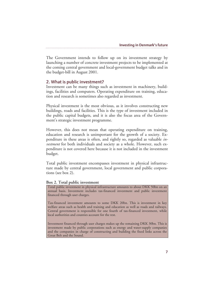The Government intends to follow up on its investment strategy by launching a number of concrete investment projects to be implemented at the coming central government and local-government budget talks and in the budget-bill in August 2001.

## 2. What is public investment?

Investment can be many things such as investment in machinery, buildings, facilities and computers. Operating expenditure on training, education and research is sometimes also regarded as investment.

Physical investment is the most obvious, as it involves constructing new buildings, roads and facilities. This is the type of investment included in the public capital budgets, and it is also the focus area of the Government's strategic investment programme.

However, this does not mean that operating expenditure on training, education and research is unimportant for the growth of a society. Expenditure in these areas is often, and rightly so, regarded as valuable *investment* for both individuals and society as a whole. However, such expenditure is not covered here because it is not included in the investment budget.

Total public investment encompasses investment in physical infrastructure made by central government, local government and public corporations (see box 2).

#### **Box 2. Total public investment**

Total public investment in physical infrastructure amounts to about DKK 50bn on an annual basis. Investment includes tax-financed investment and public investment financed through user charges.

Tax-financed investment amounts to some DKK 20bn. This is investment in key welfare areas such as health and training and education as well as roads and railways. Central government is responsible for one fourth of tax-financed investment, while local authorities and counties account for the rest.

Investment financed through user charges makes up the remaining DKK 30bn. This is investment made by public corporations such as energy and water-supply companies and the companies in charge of constructing and building the fixed links across the Great Belt and the Sound.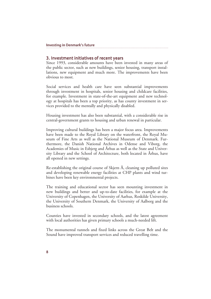## 3. Investment initiatives of recent years

Since 1993, considerable amounts have been invested in many areas of the public sector, such as new buildings, senior housing, transport installations, new equipment and much more. The improvements have been obvious to most.

Social services and health care have seen substantial improvements through investment in hospitals, senior housing and childcare facilities, for example. Investment in state-of-the-art equipment and new technology at hospitals has been a top priority, as has county investment in services provided to the mentally and physically disabled.

Housing investment has also been substantial, with a considerable rise in central-government grants to housing and urban renewal in particular.

Improving cultural buildings has been a major focus area. Improvements have been made to the Royal Library on the waterfront, the Royal Museum of Fine Arts as well as the National Museum of Denmark. Furthermore, the Danish National Archives in Odense and Viborg, the Academies of Music in Esbjerg and Århus as well as the State and University Library and the School of Architecture, both located in Århus, have all opened in new settings.

Re-establishing the original course of Skjern Å, cleaning up polluted sites and developing renewable energy facilities at CHP plants and wind turbines have been key environmental projects.

The training and educational sector has seen mounting investment in new buildings and better and up-to-date facilities, for example at the University of Copenhagen, the University of Aarhus, Roskilde University, the University of Southern Denmark, the University of Aalborg and the business schools.

Counties have invested in secondary schools, and the latest agreement with local authorities has given primary schools a much-needed lift.

The monumental tunnels and fixed links across the Great Belt and the Sound have improved transport services and reduced travelling time.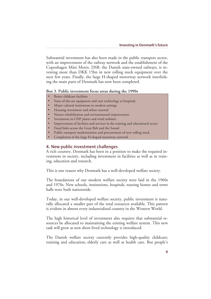Substantial investment has also been made in the public transport sector, with an improvement of the railway network and the establishment of the Copenhagen Mini Metro. DSB, the Danish state-owned railways, is investing more than DKK 15bn in new rolling stock equipment over the next few years. Finally, the large H-shaped motorway network interlinking the main parts of Denmark has now been completed.

#### **Box 3. Public investment focus areas during the 1990s**

- Better childcare facilities
- State-of-the-art equipment and new technology at hospitals
- Major cultural institutions in modern settings
- Housing investment and urban renewal
- Nature rehabilitation and environmental improvement
- Investment in CHP plants and wind turbines
- Improvement of facilities and services in the training and educational sector
- Fixed links across the Great Belt and the Sound
- Public transport modernisation and procurement of new rolling stock
- Completion of the large H-shaped motorway network

## 4. New public investment challenges

A rich country, Denmark has been in a position to make the required investment in society, including investment in facilities as well as in training, education and research.

This is one reason why Denmark has a well-developed welfare society.

The foundations of our modern welfare society were laid in the 1960s and 1970s. New schools, institutions, hospitals, nursing homes and town halls were built nationwide.

Today, in our well-developed welfare society, public investment is naturally allocated a smaller part of the total resources available. This pattern is evident in almost every industrialised country in the Western World.

The high historical level of investment also requires that substantial resources be allocated to maintaining the existing welfare system. This new task will grow as new short-lived technology is introduced.

The Danish welfare society currently provides high-quality childcare; training and education; elderly care as well as health care. But people's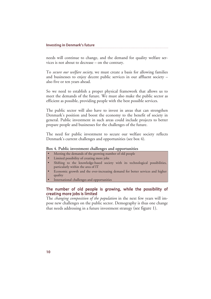needs will continue to change, and the demand for quality welfare services is not about to decrease – on the contrary.

To *secure our welfare society*, we must create a basis for allowing families and businesses to enjoy decent public services in our affluent society – also five or ten years ahead.

So we need to establish a proper physical framework that allows us to meet the demands of the future. We must also make the public sector as efficient as possible, providing people with the best possible services.

The public sector will also have to invest in areas that can strengthen Denmark's position and boost the economy to the benefit of society in general. Public investment in such areas could include projects to better prepare people and businesses for the challenges of the future.

The need for public investment to secure our welfare society reflects Denmark's current challenges and opportunities (see box 4).

#### **Box 4. Public investment challenges and opportunities**

- Meeting the demands of the growing number of old people
- Limited possibility of creating more jobs
- Shifting to the knowledge-based society with its technological possibilities, particularly within the area of IT
- Economic growth and the ever-increasing demand for better services and higher quality
- International challenges and opportunities

## The number of old people is growing, while the possibility of creating more jobs is limited

The *changing composition of the population* in the next few years will impose new challenges on the public sector. Demography is thus one change that needs addressing in a future investment strategy (see figure 1).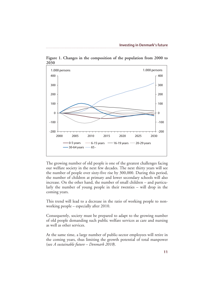

**Figure 1. Changes in the composition of the population from 2000 to 2030** 

The growing number of old people is one of the greatest challenges facing our welfare society in the next few decades. The next thirty years will see the number of people over sixty-five rise by 300,000. During this period, the number of children at primary and lower secondary schools will also increase. On the other hand, the number of small children – and particularly the number of young people in their twenties – will drop in the coming years.

This trend will lead to a decrease in the ratio of working people to nonworking people – especially after 2010.

Consequently, society must be prepared to adapt to the growing number of old people demanding such public welfare services as care and nursing as well as other services.

At the same time, a large number of public-sector employees will retire in the coming years, thus limiting the growth potential of total manpower (see *A sustainable future – Denmark 2010*).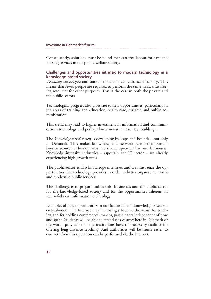Consequently, solutions must be found that can free labour for care and nursing services in our public welfare society.

### Challenges and opportunities intrinsic to modern technology in a knowledge-based society

*Technological progress* and state-of-the-art IT can enhance efficiency. This means that fewer people are required to perform the same tasks, thus freeing resources for other purposes. This is the case in both the private and the public sectors.

Technological progress also gives rise to new opportunities, particularly in the areas of training and education, health care, research and public administration.

This trend may lead to higher investment in information and communications technology and perhaps lower investment in, say, buildings.

The *knowledge-based society* is developing by leaps and bounds – not only in Denmark. This makes know-how and network relations important keys to economic development and the competition between businesses. Knowledge-intensive industries – especially the IT sector – are already experiencing high growth rates.

The public sector is also knowledge-intensive, and we must seize the opportunities that technology provides in order to better organise our work and modernise public services.

The challenge is to prepare individuals, businesses and the public sector for the knowledge-based society and for the opportunities inherent in state-of-the-art information technology.

Examples of new opportunities in our future IT and knowledge-based society abound. The Internet may increasingly become the venue for teaching and for holding conferences, making participants independent of time and space. Students will be able to attend classes anywhere in Denmark or the world, provided that the institutions have the necessary facilities for offering long-distance teaching. And authorities will be much easier to contact when this operation can be performed via the Internet.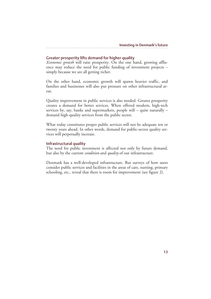## Greater prosperity lifts demand for higher quality

*Economic growth* will raise prosperity. On the one hand, growing affluence may reduce the need for public funding of investment projects – simply because we are all getting richer.

On the other hand, economic growth will spawn heavier traffic, and families and businesses will also put pressure on other infrastructural areas.

Quality improvement in public services is also needed. Greater prosperity creates a demand for better services. When offered modern, high-tech services by, say, banks and supermarkets, people will – quite naturally – demand high-quality services from the public sector.

What today constitutes proper public services will not be adequate ten or twenty years ahead. In other words, demand for public-sector quality services will perpetually increase.

## Infrastructural quality

The need for public investment is affected not only by future demand, but also by the current *condition* and *quality* of our infrastructure.

Denmark has a well-developed infrastructure. But surveys of how users consider public services and facilities in the areas of care, nursing, primary schooling, etc., reveal that there is room for improvement (see figure 2).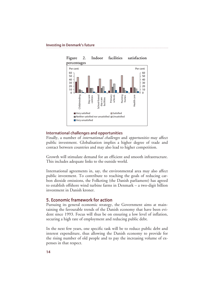

International challenges and opportunities

Finally, a number of *international challenges* and *opportunities* may affect public investment. Globalisation implies a higher degree of trade and contact between countries and may also lead to higher competition.

Growth will stimulate demand for an efficient and smooth infrastructure. This includes adequate links to the outside world.

International agreements in, say, the environmental area may also affect public investment. To contribute to reaching the goals of reducing carbon dioxide emissions, the Folketing (the Danish parliament) has agreed to establish offshore wind turbine farms in Denmark – a two-digit billion investment in Danish kroner.

## 5. Economic framework for action

Pursuing its general economic strategy, the Government aims at maintaining the favourable trends of the Danish economy that have been evident since 1993. Focus will thus be on ensuring a low level of inflation, securing a high rate of employment and reducing public debt.

In the next few years, one specific task will be to reduce public debt and interest expenditure, thus allowing the Danish economy to provide for the rising number of old people and to pay the increasing volume of expenses in that respect.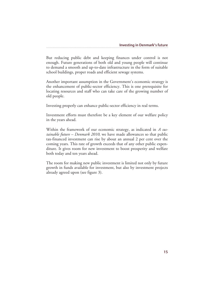But reducing public debt and keeping finances under control is not enough. Future generations of both old and young people will continue to demand a smooth and up-to-date infrastructure in the form of suitable school buildings, proper roads and efficient sewage systems.

Another important assumption in the Government's economic strategy is the enhancement of public-sector efficiency. This is one prerequisite for locating resources and staff who can take care of the growing number of old people.

Investing properly can enhance public-sector efficiency in real terms.

Investment efforts must therefore be a key element of our welfare policy in the years ahead.

Within the framework of our economic strategy, as indicated in *A sustainable future – Denmark 2010*, we have made allowances so that public tax-financed investment can rise by about an annual 2 per cent over the coming years. This rate of growth exceeds that of any other public expenditure. It gives room for new investment to boost prosperity and welfare both today and ten years ahead.

The room for making new public investment is limited not only by future growth in funds available for investment, but also by investment projects already agreed upon (see figure 3).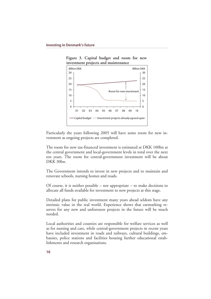

**Figure 3. Capital budget and room for new investment projects and maintenance** 

Particularly the years following 2005 will have some room for new investment as ongoing projects are completed.

The room for new tax-financed investment is estimated at DKK 100bn at the central government and local-government levels in total over the next ten years. The room for central-government investment will be about DKK 30bn.

The Government intends to invest in new projects and to maintain and renovate schools, nursing homes and roads.

Of course, it is neither possible – nor appropriate – to make decisions to allocate all funds available for investment to new projects at this stage.

Detailed plans for public investment many years ahead seldom have any intrinsic value in the real world. Experience shows that earmarking reserves for any new and unforeseen projects in the future will be much needed.

Local authorities and counties are responsible for welfare services as well as for nursing and care, while central-government projects in recent years have included investment in roads and railways, cultural buildings, embassies, police stations and facilities housing further educational establishments and research organisations.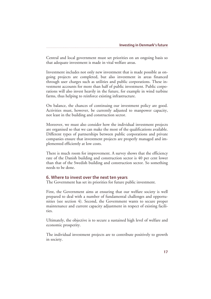Central and local government must set priorities on an ongoing basis so that adequate investment is made in vital welfare areas.

Investment includes not only new investment that is made possible as ongoing projects are completed, but also investment in areas financed through user charges such as utilities and public corporations. These investment accounts for more than half of public investment. Public corporations will also invest heavily in the future, for example in wind turbine farms, thus helping to reinforce existing infrastructure.

On balance, the chances of continuing our investment policy are good. Activities must, however, be currently adjusted to manpower capacity, not least in the building and construction sector.

Moreover, we must also consider how the individual investment projects are organised so that we can make the most of the qualifications available. Different types of partnerships between public corporations and private companies ensure that investment projects are properly managed and implemented efficiently at low costs.

There is much room for improvement. A survey shows that the efficiency rate of the Danish building and construction sector is 40 per cent lower than that of the Swedish building and construction sector. So something needs to be done.

## 6. Where to invest over the next ten years

The Government has set its priorities for future public investment.

First, the Government aims at ensuring that our welfare society is well prepared to deal with a number of fundamental challenges and opportunities (see section 4). Second, the Government wants to secure proper maintenance and current capacity adjustment in respect of existing facilities.

Ultimately, the objective is to secure a sustained high level of welfare and economic prosperity.

The individual investment projects are to contribute positively to growth in society.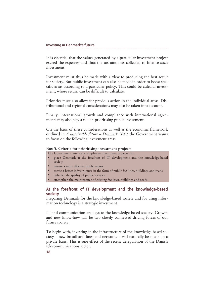It is essential that the values generated by a particular investment project exceed the expenses and thus the tax amounts collected to finance such investment.

Investment must thus be made with a view to producing the best result for society. But public investment can also be made in order to boost specific areas according to a particular policy. This could be cultural investment, whose return can be difficult to calculate.

Priorities must also allow for previous action in the individual areas. Distributional and regional considerations may also be taken into account.

Finally, international growth and compliance with international agreements may also play a role in prioritising public investment.

On the basis of these considerations as well as the economic framework outlined in *A sustainable future – Denmark 2010*, the Government wants to focus on the following investment areas:

#### **Box 5. Criteria for prioritising investment projects**

The Government intends to emphasise investment projects that

- place Denmark at the forefront of IT development and the knowledge-based society
- ensure a more efficient public sector
- create a better infrastructure in the form of public facilities, buildings and roads
- enhance the quality of public services
- strengthen the maintenance of existing facilities, buildings and roads

## At the forefront of IT development and the knowledge-based society

Preparing Denmark for the knowledge-based society and for using information technology is a strategic investment.

IT and communication are keys to the knowledge-based society. Growth and new know-how will be two closely connected driving forces of our future society.

To begin with, investing in the infrastructure of the knowledge-based society – new broadband lines and networks – will naturally be made on a private basis. This is one effect of the recent deregulation of the Danish telecommunications sector.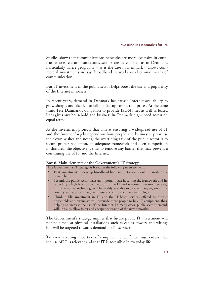Studies show that communications networks are more extensive in countries whose telecommunications sectors are deregulated as in Denmark. Particularly where geography – as is the case in Denmark – allows commercial investments in, say, broadband networks or electronic means of communication.

But IT investment in the public sector helps boost the use and popularity of the Internet in society.

In recent years, demand in Denmark has caused Internet availability to grow sharply and also led to falling dial-up connection prices. At the same time, Tele Danmark's obligation to provide ISDN lines as well as leased lines gives any household and business in Denmark high-speed access on equal terms.

As the investment projects that aim at ensuring a widespread use of IT and the Internet largely depend on how people and businesses prioritise their own wishes and needs, the overriding task of the public sector is to secure proper regulation, an adequate framework and keen competition in this area; the objective is thus to remove any barrier that may prevent a continuing use of IT and the Internet.

#### **Box 6. Main elements of the Government's IT strategy**

The Government's IT strategy is based on the following main elements:

- First, investment to develop broadband lines and networks should be made on a private basis.
- Second, the public sector plays an important part in setting the framework and in providing a high level of competition in the IT and telecommunications sectors; in this way, new technology will be readily available to people in any region in the country and at prices that give all users access to such new technology.
- Third, public investment in IT and the IT-based services offered to private households and businesses will persuade more people to buy IT equipment, thus helping to increase the use of the Internet. In many cases, public-sector demand will, initially, allow faster and cheaper extension of the new networks.

The Government's strategy implies that future public IT investment will not be aimed at physical installations such as cables, towers and wiring, but will be targeted towards demand for IT services.

To avoid creating "two tiers of computer literacy", we must ensure that the use of IT is relevant and that IT is accessible in everyday life.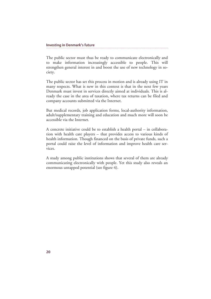The public sector must thus be ready to communicate electronically and to make information increasingly accessible to people. This will strengthen general interest in and boost the use of new technology in society.

The public sector has set this process in motion and is already using IT in many respects. What is new in this context is that in the next few years Denmark must invest in services directly aimed at individuals. This is already the case in the area of taxation, where tax returns can be filed and company accounts submitted via the Internet.

But medical records, job application forms, local-authority information, adult/supplementary training and education and much more will soon be accessible via the Internet.

A concrete initiative could be to establish a health portal – in collaboration with health care players – that provides access to various kinds of health information. Though financed on the basis of private funds, such a portal could raise the level of information and improve health care services.

A study among public institutions shows that several of them are already communicating electronically with people. Yet this study also reveals an enormous untapped potential (see figure 4).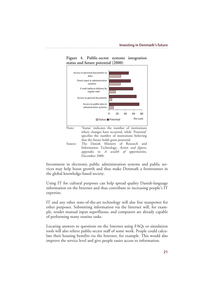

## **Figure 4. Public-sector systems integration status and future potential (2000)**

Investment in electronic public administration systems and public services may help boost growth and thus make Denmark a frontrunner in the global knowledge-based society.

December 2000.

Using IT for cultural purposes can help spread quality Danish-language information on the Internet and thus contribute to increasing people's IT expertise.

IT and any other state-of-the-art technology will also free manpower for other purposes. Submitting information via the Internet will, for example, render manual input superfluous, and computers are already capable of performing many routine tasks.

Locating answers to questions on the Internet using FAQs or simulation tools will also relieve public-sector staff of some work. People could calculate their housing benefits via the Internet, for example. This would also improve the service level and give people easier access to information.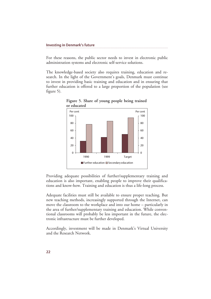For these reasons, the public sector needs to invest in electronic public administration systems and electronic self-service solutions.

The knowledge-based society also requires training, education and research. In the light of the Government's goals, Denmark must continue to invest in providing basic training and education and in ensuring that further education is offered to a large proportion of the population (see figure 5).



**Figure 5. Share of young people being trained or educated** 

Providing adequate possibilities of further/supplementary training and education is also important, enabling people to improve their qualifications and know-how. Training and education is thus a life-long process.

Adequate facilities must still be available to ensure proper teaching. But new teaching methods, increasingly supported through the Internet, can move the classroom to the workplace and into our home – particularly in the area of further/supplementary training and education. While conventional classrooms will probably be less important in the future, the electronic infrastructure must be further developed.

Accordingly, investment will be made in Denmark's Virtual University and the Research Network.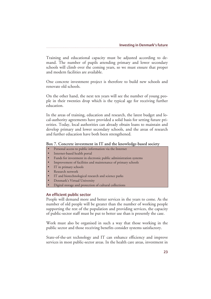Training and educational capacity must be adjusted according to demand. The number of pupils attending primary and lower secondary schools will climb over the coming years, so we must ensure that proper and modern facilities are available.

One concrete investment project is therefore to build new schools and renovate old schools.

On the other hand, the next ten years will see the number of young people in their twenties drop which is the typical age for receiving further education.

In the areas of training, education and research, the latest budget and local-authority agreements have provided a solid basis for setting future priorities. Today, local authorities can already obtain loans to maintain and develop primary and lower secondary schools, and the areas of research and further education have both been strengthened.

#### **Box 7. Concrete investment in IT and the knowledge-based society**

- Personal access to public information via the Internet
- Internet-based health portal
- Funds for investment in electronic public administration systems
- Improvement of facilities and maintenance of primary schools
- IT in primary schools
- Research network
- IT and biotechnological research and science parks
- Denmark's Virtual University
- Digital storage and protection of cultural collections

#### An efficient public sector

People will demand more and better services in the years to come. As the number of old people will be greater than the number of working people supporting the rest of the population and providing services, the capacity of public-sector staff must be put to better use than is presently the case.

Work must also be organised in such a way that those working in the public sector and those receiving benefits consider systems satisfactory.

State-of-the-art technology and IT can enhance efficiency and improve services in most public-sector areas. In the health care areas, investment in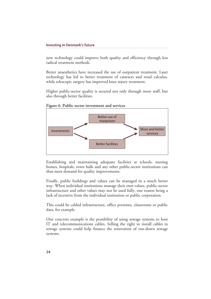new technology could improve both quality and efficiency through less radical treatment methods.

Better anaesthetics have increased the use of outpatient treatment. Laser technology has led to better treatment of cataracts and renal calculus, while telescopic surgery has improved knee injury treatment.

Higher public-sector quality is secured not only through more staff, but also through better facilities.

**Figure 6. Public-sector investment and services** 



Establishing and maintaining adequate facilities at schools, nursing homes, hospitals, town halls and any other public-sector institutions can thus meet demand for quality improvements.

Finally, public buildings and values can be managed in a much better way. When individual institutions manage their own values, public-sector infrastructure and other values may not be used fully, one reason being a lack of incentive from the individual institution or public corporation.

This could be cabled infrastructure, office premises, classrooms or public data, for example.

One concrete example is the possibility of using sewage systems to host IT and telecommunications cables. Selling the right to install cables in sewage systems could help finance the renovation of run-down sewage systems.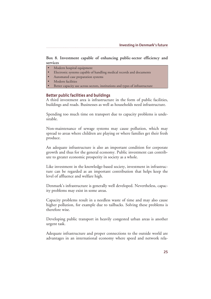## **Box 8. Investment capable of enhancing public-sector efficiency and services**

- Modern hospital equipment
- Electronic systems capable of handling medical records and documents
- Automated case preparation systems
- Modern facilities
- Better capacity use across sectors, institutions and types of infrastructure

## Better public facilities and buildings

A third investment area is infrastructure in the form of public facilities, buildings and roads. Businesses as well as households need infrastructure.

Spending too much time on transport due to capacity problems is undesirable.

Non-maintenance of sewage systems may cause pollution, which may spread to areas where children are playing or where families get their fresh produce.

An adequate infrastructure is also an important condition for corporate growth and thus for the general economy. Public investment can contribute to greater economic prosperity in society as a whole.

Like investment in the knowledge-based society, investment in infrastructure can be regarded as an important contribution that helps keep the level of affluence and welfare high.

Denmark's infrastructure is generally well developed. Nevertheless, capacity problems may exist in some areas.

Capacity problems result in a needless waste of time and may also cause higher pollution, for example due to tailbacks. Solving these problems is therefore wise.

Developing public transport in heavily congested urban areas is another urgent task.

Adequate infrastructure and proper connections to the outside world are advantages in an international economy where speed and network rela-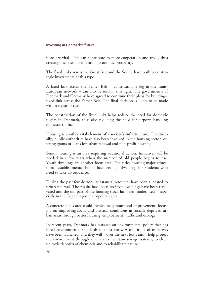tions are vital. This can contribute to more cooperation and trade, thus creating the basis for increasing economic prosperity.

The fixed links across the Great Belt and the Sound have both been strategic investments of this type.

A fixed link across the Femer Belt – constituting a leg in the trans-European network – can also be seen in this light. The governments of Denmark and Germany have agreed to continue their plans for building a fixed link across the Femer Belt. The final decision is likely to be made within a year or two.

The construction of the fixed links helps reduce the need for domestic flights in Denmark, thus also reducing the need for airports handling domestic traffic.

Housing is another vital element of a society's infrastructure. Traditionally, public authorities have also been involved in the housing sector, offering grants or loans for urban renewal and non-profit housing.

Senior housing is an area requiring additional action. Initiatives will be needed in a few years when the number of old people begins to rise. Youth dwellings are another focus area. The cities housing major educational establishments should have enough dwellings for students who need to take up residence.

During the past few decades, substantial resources have been allocated to urban renewal. The results have been positive: dwellings have been renovated and the old part of the housing stock has been modernised – especially in the Copenhagen metropolitan area.

A concrete focus area could involve neighbourhood improvement, focusing on improving social and physical conditions in socially deprived urban areas through better housing, employment, traffic and ecology.

In recent years, Denmark has pursued an environmental policy that has lifted environmental standards in most areas. A multitude of initiatives have been launched, and they will – over the next few years – help protect the environment through schemes to maintain sewage systems, to clean up toxic deposits of chemicals and to rehabilitate nature.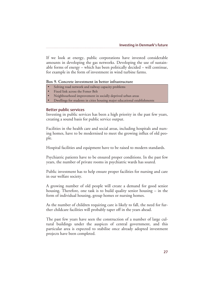If we look at energy, public corporations have invested considerable amounts in developing the gas networks. Developing the use of sustainable forms of energy – which has been politically decided – will continue, for example in the form of investment in wind turbine farms.

#### **Box 9. Concrete investment in better infrastructure**

- Solving road network and railway capacity problems
- Fixed link across the Femer Belt
- Neighbourhood improvement in socially deprived urban areas
- Dwellings for students in cities housing major educational establishments

#### Better public services

Investing in public services has been a high priority in the past few years, creating a sound basis for public service output.

Facilities in the health care and social areas, including hospitals and nursing homes, have to be modernised to meet the growing influx of old people.

Hospital facilities and equipment have to be raised to modern standards.

Psychiatric patients have to be ensured proper conditions. In the past few years, the number of private rooms in psychiatric wards has soared.

Public investment has to help ensure proper facilities for nursing and care in our welfare society.

A growing number of old people will create a demand for good senior housing. Therefore, one task is to build quality senior housing – in the form of individual housing, group homes or nursing homes.

As the number of children requiring care is likely to fall, the need for further childcare facilities will probably taper off in the years ahead.

The past few years have seen the construction of a number of large cultural buildings under the auspices of central government, and this particular area is expected to stabilise once already adopted investment projects have been completed.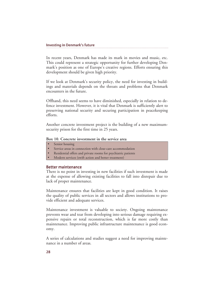In recent years, Denmark has made its mark in movies and music, etc. This could represent a strategic opportunity for further developing Denmark's position as one of Europe's creative regions. Efforts ensuring this development should be given high priority.

If we look at Denmark's security policy, the need for investing in buildings and materials depends on the threats and problems that Denmark encounters in the future.

Offhand, this need seems to have diminished, especially in relation to defence investment. However, it is vital that Denmark is sufficiently alert to preserving national security and securing participation in peacekeeping efforts.

Another concrete investment project is the building of a new maximumsecurity prison for the first time in 25 years.

#### **Box 10. Concrete investment in the service area**

- Senior housing
- Service areas in connection with close-care accommodation
- Residential offers and private rooms for psychiatric patients
- Modern services (swift action and better treatment)

#### Better maintenance

There is no point in investing in new facilities if such investment is made at the expense of allowing existing facilities to fall into disrepair due to lack of proper maintenance.

Maintenance ensures that facilities are kept in good condition. It raises the quality of public services in all sectors and allows institutions to provide efficient and adequate services.

Maintenance investment is valuable to society. Ongoing maintenance prevents wear and tear from developing into serious damage requiring expensive repairs or total reconstruction, which is far more costly than maintenance. Improving public infrastructure maintenance is good economy.

A series of calculations and studies suggest a need for improving maintenance in a number of areas.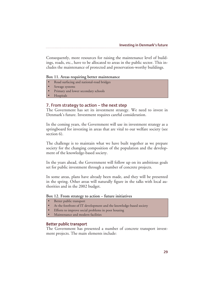Consequently, more resources for raising the maintenance level of buildings, roads, etc., have to be allocated to areas in the public sector. This includes the maintenance of protected and preservation-worthy buildings.

#### **Box 11. Areas requiring better maintenance**

- Road surfacing and national-road bridges
- Sewage systems
- Primary and lower secondary schools
- Hospitals

## 7. From strategy to action  $-$  the next step

The Government has set its investment strategy. We need to invest in Denmark's future. Investment requires careful consideration.

In the coming years, the Government will use its investment strategy as a springboard for investing in areas that are vital to our welfare society (see section 6).

The challenge is to maintain what we have built together as we prepare society for the changing composition of the population and the development of the knowledge-based society.

In the years ahead, the Government will follow up on its ambitious goals set for public investment through a number of concrete projects.

In some areas, plans have already been made, and they will be presented in the spring. Other areas will naturally figure in the talks with local authorities and in the 2002 budget.

#### **Box 12. From strategy to action – future initiatives**

- Better public transport
- At the forefront of IT development and the knowledge-based society
- Efforts to improve social problems in poor housing
- Maintenance and modern facilities

#### Better public transport

The Government has presented a number of concrete transport investment projects. The main elements include: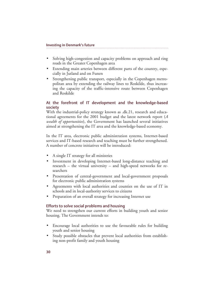- Solving high-congestion and capacity problems on approach and ring roads in the Greater Copenhagen area
- Extending main arteries between different parts of the country, especially in Jutland and on Funen
- Strengthening public transport, especially in the Copenhagen metropolitan area by extending the railway lines to Roskilde, thus increasing the capacity of the traffic-intensive route between Copenhagen and Roskilde

## At the forefront of IT development and the knowledge-based society

With the industrial-policy strategy known as .dk.21, research and educational agreements for the 2001 budget and the latest network report (*A wealth of opportunities*), the Government has launched several initiatives aimed at strengthening the IT area and the knowledge-based economy.

In the IT area, electronic public administration systems, Internet-based services and IT-based research and teaching must be further strengthened. A number of concrete initiatives will be introduced:

- A single IT strategy for all ministries
- Investment in developing Internet-based long-distance teaching and research – the virtual university – and high-speed networks for researchers
- Presentation of central-government and local-government proposals for electronic public administration systems
- Agreements with local authorities and counties on the use of IT in schools and in local-authority services to citizens
- Preparation of an overall strategy for increasing Internet use

## Efforts to solve social problems and housing

We need to strengthen our current efforts in building youth and senior housing. The Government intends to:

- Encourage local authorities to use the favourable rules for building youth and senior housing
- Study possible obstacles that prevent local authorities from establishing non-profit family and youth housing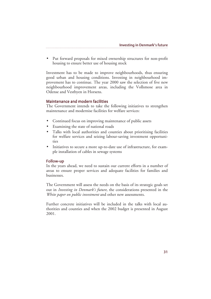• Put forward proposals for mixed ownership structures for non-profit housing to ensure better use of housing stock

Investment has to be made to improve neighbourhoods, thus ensuring good urban and housing conditions. Investing in neighbourhood improvement has to continue. The year 2000 saw the selection of five new neighbourhood improvement areas, including the Vollsmose area in Odense and Vestbyen in Horsens.

#### Maintenance and modern facilities

The Government intends to take the following initiatives to strengthen maintenance and modernise facilities for welfare services:

- Continued focus on improving maintenance of public assets
- Examining the state of national roads
- Talks with local authorities and counties about prioritising facilities for welfare services and seizing labour-saving investment opportunities
- Initiatives to secure a more up-to-date use of infrastructure, for example installation of cables in sewage systems

#### Follow-up

In the years ahead, we need to sustain our current efforts in a number of areas to ensure proper services and adequate facilities for families and businesses.

The Government will assess the needs on the basis of its strategic goals set out in *Investing in Denmark's future*, the considerations presented in the *White paper on public investment* and other new assessments.

Further concrete initiatives will be included in the talks with local authorities and counties and when the 2002 budget is presented in August 2001.